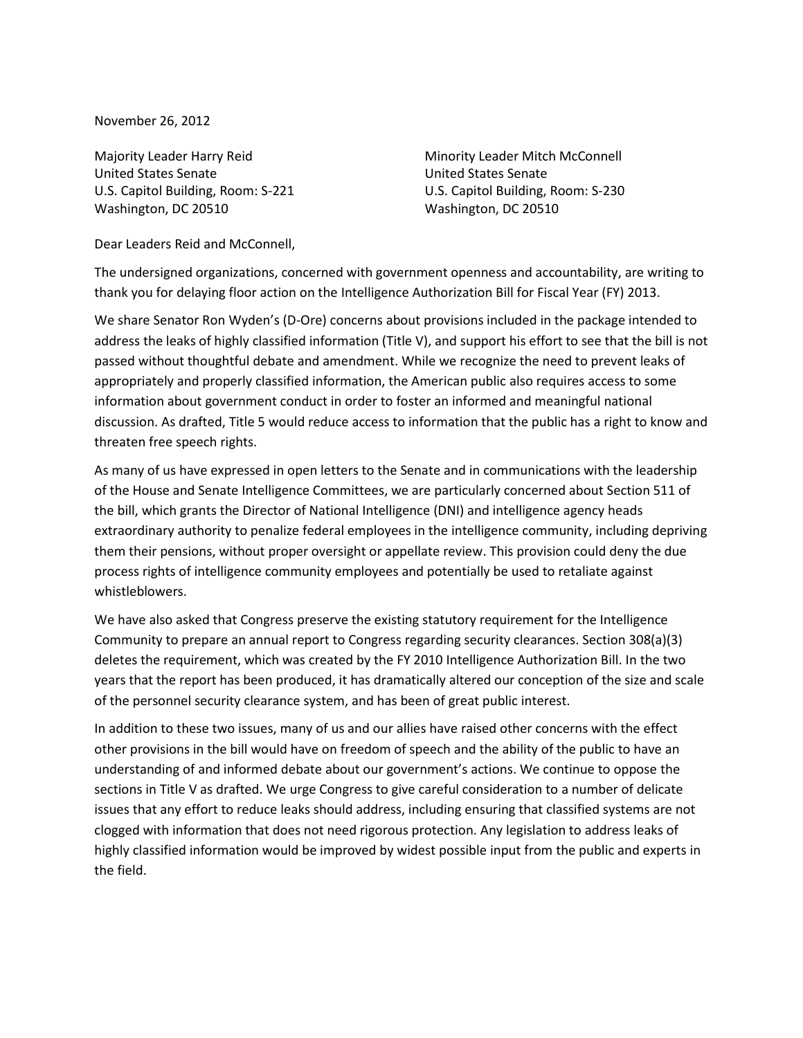November 26, 2012

Majority Leader Harry Reid United States Senate U.S. Capitol Building, Room: S-221 Washington, DC 20510

Minority Leader Mitch McConnell United States Senate U.S. Capitol Building, Room: S-230 Washington, DC 20510

Dear Leaders Reid and McConnell,

The undersigned organizations, concerned with government openness and accountability, are writing to thank you for delaying floor action on the Intelligence Authorization Bill for Fiscal Year (FY) 2013.

We share Senator Ron Wyden's (D-Ore) concerns about provisions included in the package intended to address the leaks of highly classified information (Title V), and support his effort to see that the bill is not passed without thoughtful debate and amendment. While we recognize the need to prevent leaks of appropriately and properly classified information, the American public also requires access to some information about government conduct in order to foster an informed and meaningful national discussion. As drafted, Title 5 would reduce access to information that the public has a right to know and threaten free speech rights.

As many of us have expressed in open letters to the Senate and in communications with the leadership of the House and Senate Intelligence Committees, we are particularly concerned about Section 511 of the bill, which grants the Director of National Intelligence (DNI) and intelligence agency heads extraordinary authority to penalize federal employees in the intelligence community, including depriving them their pensions, without proper oversight or appellate review. This provision could deny the due process rights of intelligence community employees and potentially be used to retaliate against whistleblowers.

We have also asked that Congress preserve the existing statutory requirement for the Intelligence Community to prepare an annual report to Congress regarding security clearances. Section 308(a)(3) deletes the requirement, which was created by the FY 2010 Intelligence Authorization Bill. In the two years that the report has been produced, it has dramatically altered our conception of the size and scale of the personnel security clearance system, and has been of great public interest.

In addition to these two issues, many of us and our allies have raised other concerns with the effect other provisions in the bill would have on freedom of speech and the ability of the public to have an understanding of and informed debate about our government's actions. We continue to oppose the sections in Title V as drafted. We urge Congress to give careful consideration to a number of delicate issues that any effort to reduce leaks should address, including ensuring that classified systems are not clogged with information that does not need rigorous protection. Any legislation to address leaks of highly classified information would be improved by widest possible input from the public and experts in the field.